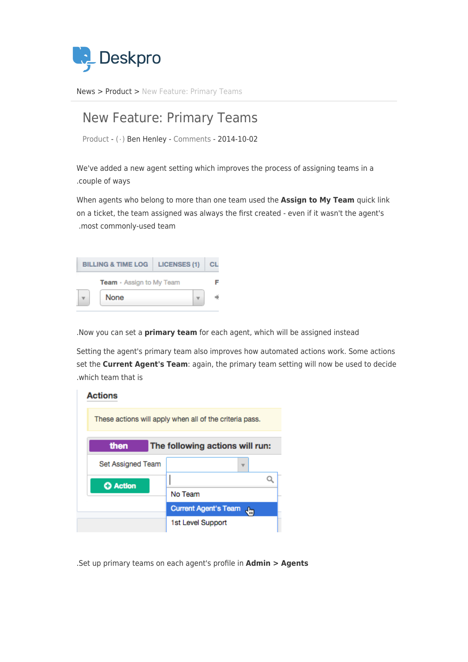

News> [Product](https://support.deskpro.com/ar/news/product) > New Feature: Primary Teams

## New Feature: Primary Teams

Product -  $(·)$  Ben Henley - [Comments](#page--1-0) - 2014-10-02

We've added a new agent setting which improves the process of assigning teams in a .couple of ways

When agents who belong to more than one team used the **Assign to My Team** quick link on a ticket, the team assigned was always the first created - even if it wasn't the agent's .most commonly-used team



. Now you can set a *primary team* for each agent, which will be assigned instead

Setting the agent's primary team also improves how automated actions work. Some actions set the **Current Agent's Team**: again, the primary team setting will now be used to decide which team that is

| <b>Actions</b>                                          |                                   |
|---------------------------------------------------------|-----------------------------------|
| These actions will apply when all of the criteria pass. |                                   |
| then<br>The following actions will run:                 |                                   |
| Set Assigned Team                                       |                                   |
| <b>C</b> Action                                         |                                   |
|                                                         | No Team                           |
|                                                         | <b>Current Agent's Team</b><br>ł. |
|                                                         | 1st Level Support                 |

. Set up primary teams on each agent's profile in **Admin > Agents**